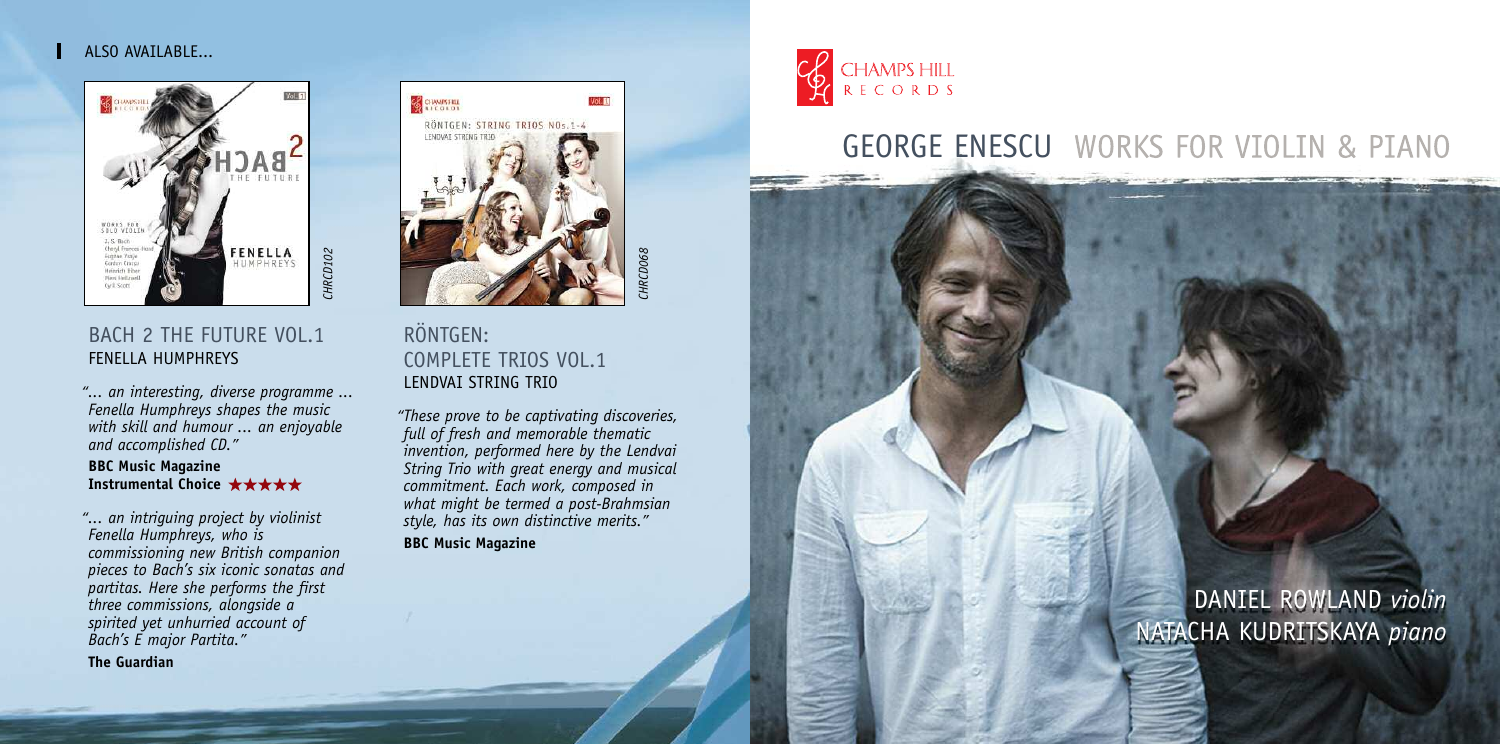## ALSO AVAILABLE...



# BACH 2 THE FUTURE VOL.1 FENELLA HUMPHREYS

*"... an interesting, diverse programme ... Fenella Humphreys shapes the music with skill and humour ... an enjoyable and accomplished CD."*

### **BBC Music Magazine Instrumental Choice**

*"... an intriguing project by violinist Fenella Humphreys, who is commissioning new British companion pieces to Bach's six iconic sonatas and partitas. Here she performs the first three commissions, alongside a spirited yet unhurried account of Bach's E major Partita."*

**The Guardian**



*CHRCD068*

**RCDO68** 

RÖNTGEN: COMPLETE TRIOS VOL.1 LENDVAI STRING TRIO

*"These prove to be captivating discoveries, full of fresh and memorable thematic invention, performed here by the Lendvai String Trio with great energy and musical commitment. Each work, composed in what might be termed a post-Brahmsian style, has its own distinctive merits."*

**BBC Music Magazine**



# **GEORGE ENESCU** WORKS FOR VIOLIN & PIANO

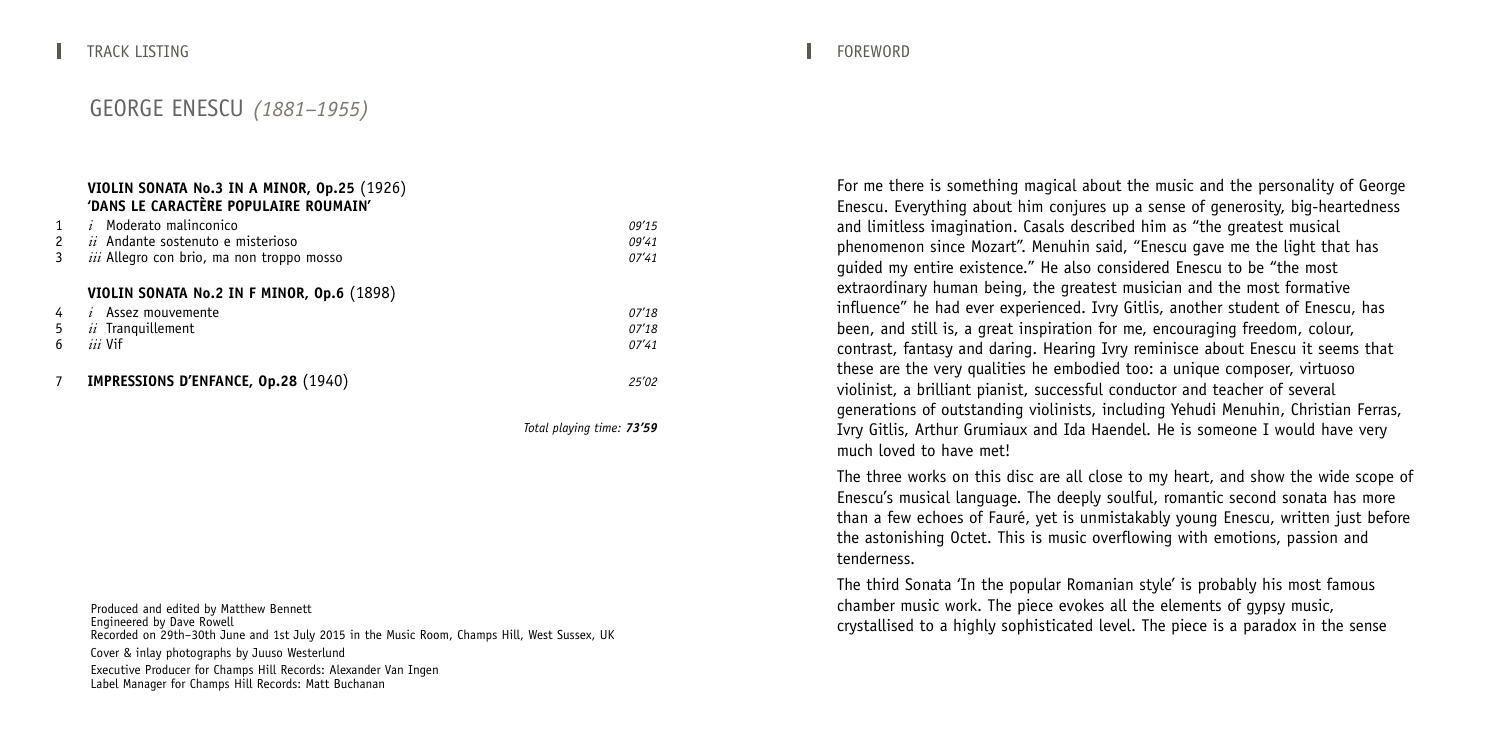## **VIOLIN SONATA No.3 IN A MINOR, Op.25** (1926) **'DANS LE CARACTÈRE POPULAIRE ROUMAIN'** 1 *i* Moderato malinconico *09'15* 2 *ii* Andante sostenuto e misterioso *09'41*  $iii$  Allegro con brio, ma non troppo mosso **VIOLIN SONATA No.2 IN F MINOR, Op.6** (1898) 4 *i* Assez mouvemente *07'18* 5 *ii* Tranquillement *07'18* 6 *iii* Vif *07'41* 7 **IMPRESSIONS D'ENFANCE, Op.28** (1940) *25'02*

*Total playing time: 73'59*

Produced and edited by Matthew Bennett<br>Engineered by Dave Rowell<br>Recorded on 29th–30th June and 1st July 2015 in the Music Room, Champs Hill, West Sussex, UK Cover & inlay photographs by Juuso Westerlund Executive Producer for Champs Hill Records: Alexander Van Ingen Label Manager for Champs Hill Records: Matt Buchanan

For me there is something magical about the music and the personality of George Enescu. Everything about him conjures up a sense of generosity, big-heartedness and limitless imagination. Casals described him as "the greatest musical phenomenon since Mozart". Menuhin said, "Enescu gave me the light that has guided my entire existence." He also considered Enescu to be "the most extraordinary human being, the greatest musician and the most formative influence" he had ever experienced. Ivry Gitlis, another student of Enescu, has been, and still is, a great inspiration for me, encouraging freedom, colour, contrast, fantasy and daring. Hearing Ivry reminisce about Enescu it seems that these are the very qualities he embodied too: a unique composer, virtuoso violinist, a brilliant pianist, successful conductor and teacher of several generations of outstanding violinists, including Yehudi Menuhin, Christian Ferras, Ivry Gitlis, Arthur Grumiaux and Ida Haendel. He is someone I would have very much loved to have met!

The three works on this disc are all close to my heart, and show the wide scope of Enescu's musical language. The deeply soulful, romantic second sonata has more than a few echoes of Fauré, yet is unmistakably young Enescu, written just before the astonishing Octet. This is music overflowing with emotions, passion and tenderness.

The third Sonata 'In the popular Romanian style' is probably his most famous chamber music work. The piece evokes all the elements of gypsy music, crystallised to a highly sophisticated level. The piece is a paradox in the sense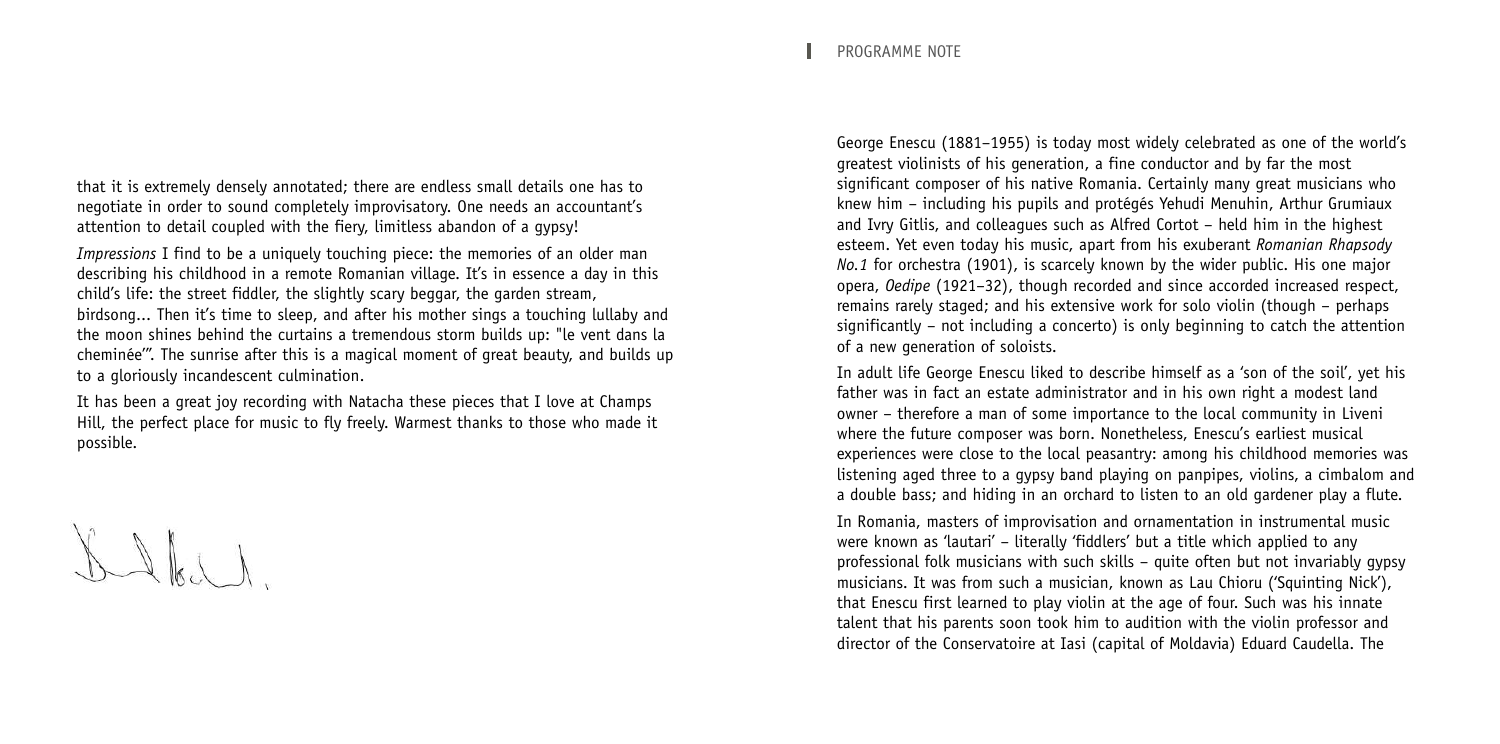that it is extremely densely annotated; there are endless small details one has to negotiate in order to sound completely improvisatory. One needs an accountant's attention to detail coupled with the fiery, limitless abandon of a gypsy!

*Impressions* I find to be a uniquely touching piece: the memories of an older man describing his childhood in a remote Romanian village. It's in essence a day in this child's life: the street fiddler, the slightly scary beggar, the garden stream, birdsong... Then it's time to sleep, and after his mother sings a touching lullaby and the moon shines behind the curtains a tremendous storm builds up: "le vent dans la cheminée'". The sunrise after this is a magical moment of great beauty, and builds up to a gloriously incandescent culmination.

It has been a great joy recording with Natacha these pieces that I love at Champs Hill, the perfect place for music to fly freely. Warmest thanks to those who made it possible.

 $L\left( \left( \begin{array}{c} \lambda & \lambda \\ \lambda & \lambda \end{array} \right)$ 

George Enescu (1881–1955) is today most widely celebrated as one of the world's greatest violinists of his generation, a fine conductor and by far the most significant composer of his native Romania. Certainly many great musicians who knew him – including his pupils and protégés Yehudi Menuhin, Arthur Grumiaux and Ivry Gitlis, and colleagues such as Alfred Cortot – held him in the highest esteem. Yet even today his music, apart from his exuberant *Romanian Rhapsody No.1* for orchestra (1901), is scarcely known by the wider public. His one major opera, *Oedipe* (1921–32), though recorded and since accorded increased respect, remains rarely staged; and his extensive work for solo violin (though – perhaps significantly – not including a concerto) is only beginning to catch the attention of a new generation of soloists.

In adult life George Enescu liked to describe himself as a 'son of the soil', yet his father was in fact an estate administrator and in his own right a modest land owner – therefore a man of some importance to the local community in Liveni where the future composer was born. Nonetheless, Enescu's earliest musical experiences were close to the local peasantry: among his childhood memories was listening aged three to a gypsy band playing on panpipes, violins, a cimbalom and a double bass; and hiding in an orchard to listen to an old gardener play a flute.

In Romania, masters of improvisation and ornamentation in instrumental music were known as 'lautari' – literally 'fiddlers' but a title which applied to any professional folk musicians with such skills – quite often but not invariably gypsy musicians. It was from such a musician, known as Lau Chioru ('Squinting Nick'), that Enescu first learned to play violin at the age of four. Such was his innate talent that his parents soon took him to audition with the violin professor and director of the Conservatoire at Iasi (capital of Moldavia) Eduard Caudella. The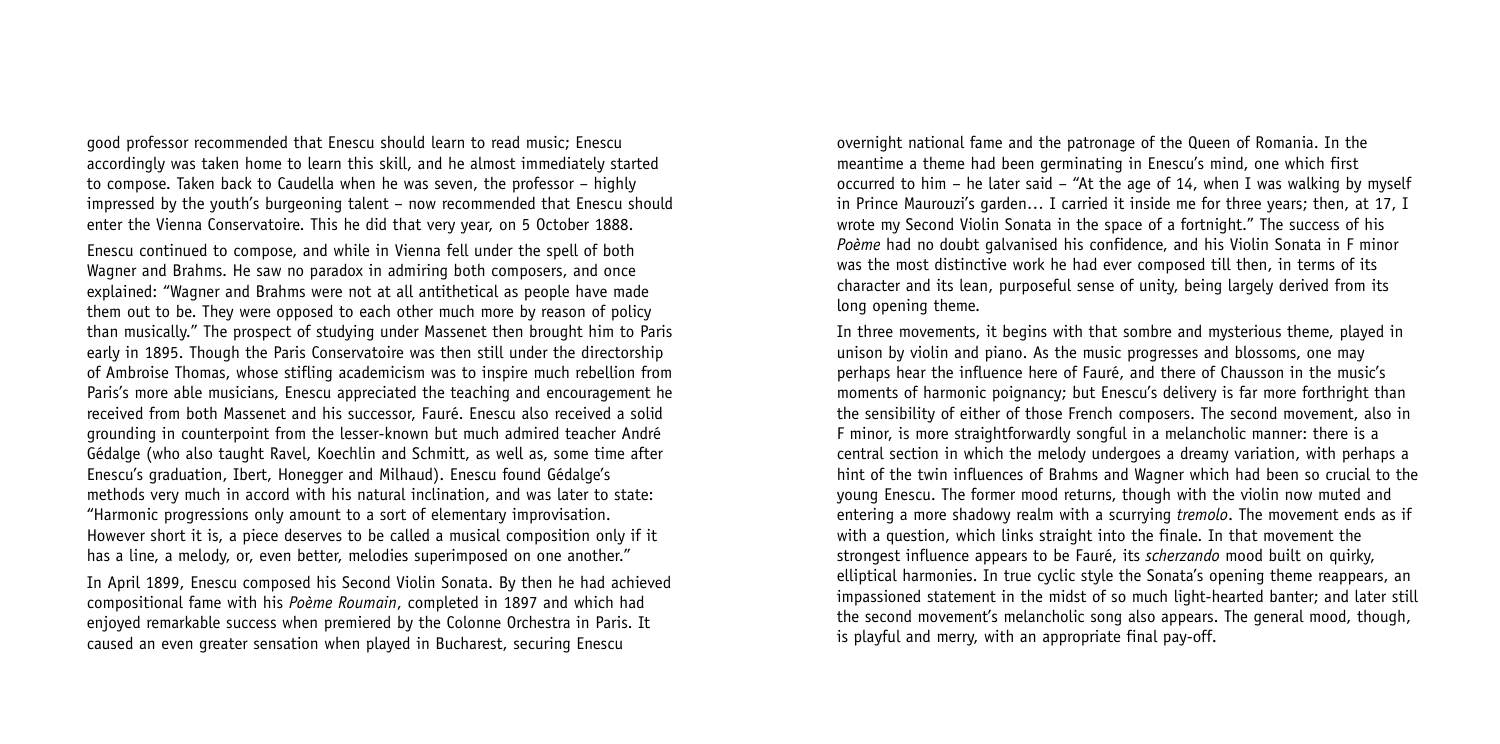good professor recommended that Enescu should learn to read music; Enescu accordingly was taken home to learn this skill, and he almost immediately started to compose. Taken back to Caudella when he was seven, the professor – highly impressed by the youth's burgeoning talent – now recommended that Enescu should enter the Vienna Conservatoire. This he did that very year, on 5 October 1888.

Enescu continued to compose, and while in Vienna fell under the spell of both Wagner and Brahms. He saw no paradox in admiring both composers, and once explained: "Wagner and Brahms were not at all antithetical as people have made them out to be. They were opposed to each other much more by reason of policy than musically." The prospect of studying under Massenet then brought him to Paris early in 1895. Though the Paris Conservatoire was then still under the directorship of Ambroise Thomas, whose stifling academicism was to inspire much rebellion from Paris's more able musicians, Enescu appreciated the teaching and encouragement he received from both Massenet and his successor, Fauré. Enescu also received a solid grounding in counterpoint from the lesser-known but much admired teacher André Gédalge (who also taught Ravel, Koechlin and Schmitt, as well as, some time after Enescu's graduation, Ibert, Honegger and Milhaud). Enescu found Gédalge's methods very much in accord with his natural inclination, and was later to state: "Harmonic progressions only amount to a sort of elementary improvisation. However short it is, a piece deserves to be called a musical composition only if it has a line, a melody, or, even better, melodies superimposed on one another."

In April 1899, Enescu composed his Second Violin Sonata. By then he had achieved compositional fame with his *Poème Roumain*, completed in 1897 and which had enjoyed remarkable success when premiered by the Colonne Orchestra in Paris. It caused an even greater sensation when played in Bucharest, securing Enescu

overnight national fame and the patronage of the Queen of Romania. In the meantime a theme had been germinating in Enescu's mind, one which first occurred to him – he later said – "At the age of 14, when I was walking by myself in Prince Maurouzi's garden… I carried it inside me for three years; then, at 17, I wrote my Second Violin Sonata in the space of a fortnight." The success of his *Poème* had no doubt galvanised his confidence, and his Violin Sonata in F minor was the most distinctive work he had ever composed till then, in terms of its character and its lean, purposeful sense of unity, being largely derived from its long opening theme.

In three movements, it begins with that sombre and mysterious theme, played in unison by violin and piano. As the music progresses and blossoms, one may perhaps hear the influence here of Fauré, and there of Chausson in the music's moments of harmonic poignancy; but Enescu's delivery is far more forthright than the sensibility of either of those French composers. The second movement, also in F minor, is more straightforwardly songful in a melancholic manner: there is a central section in which the melody undergoes a dreamy variation, with perhaps a hint of the twin influences of Brahms and Wagner which had been so crucial to the young Enescu. The former mood returns, though with the violin now muted and entering a more shadowy realm with a scurrying *tremolo*. The movement ends as if with a question, which links straight into the finale. In that movement the strongest influence appears to be Fauré, its *scherzando* mood built on quirky, elliptical harmonies. In true cyclic style the Sonata's opening theme reappears, an impassioned statement in the midst of so much light-hearted banter; and later still the second movement's melancholic song also appears. The general mood, though, is playful and merry, with an appropriate final pay-off.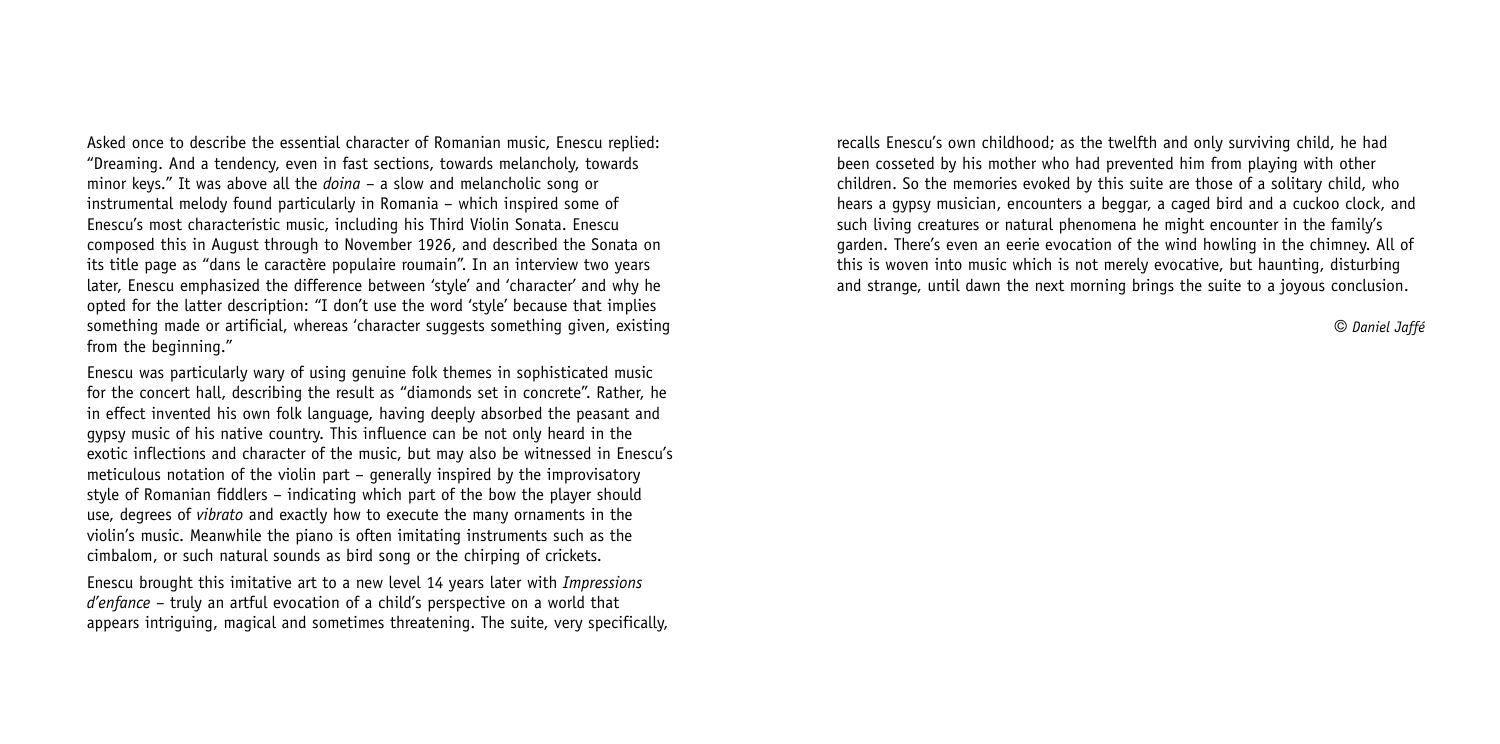Asked once to describe the essential character of Romanian music, Enescu replied: "Dreaming. And a tendency, even in fast sections, towards melancholy, towards minor keys." It was above all the *doina* – a slow and melancholic song or instrumental melody found particularly in Romania – which inspired some of Enescu's most characteristic music, including his Third Violin Sonata. Enescu composed this in August through to November 1926, and described the Sonata on its title page as "dans le caractère populaire roumain". In an interview two years later, Enescu emphasized the difference between 'style' and 'character' and why he opted for the latter description: "I don't use the word 'style' because that implies something made or artificial, whereas 'character suggests something given, existing from the beginning."

Enescu was particularly wary of using genuine folk themes in sophisticated music for the concert hall, describing the result as "diamonds set in concrete". Rather, he in effect invented his own folk language, having deeply absorbed the peasant and gypsy music of his native country. This influence can be not only heard in the exotic inflections and character of the music, but may also be witnessed in Enescu's meticulous notation of the violin part – generally inspired by the improvisatory style of Romanian fiddlers – indicating which part of the bow the player should use, degrees of *vibrato* and exactly how to execute the many ornaments in the violin's music. Meanwhile the piano is often imitating instruments such as the cimbalom, or such natural sounds as bird song or the chirping of crickets.

Enescu brought this imitative art to a new level 14 years later with *Impressions d'enfance* – truly an artful evocation of a child's perspective on a world that appears intriguing, magical and sometimes threatening. The suite, very specifically, recalls Enescu's own childhood; as the twelfth and only surviving child, he had been cosseted by his mother who had prevented him from playing with other children. So the memories evoked by this suite are those of a solitary child, who hears a gypsy musician, encounters a beggar, a caged bird and a cuckoo clock, and such living creatures or natural phenomena he might encounter in the family's garden. There's even an eerie evocation of the wind howling in the chimney. All of this is woven into music which is not merely evocative, but haunting, disturbing and strange, until dawn the next morning brings the suite to a joyous conclusion.

g *Daniel Jaffé*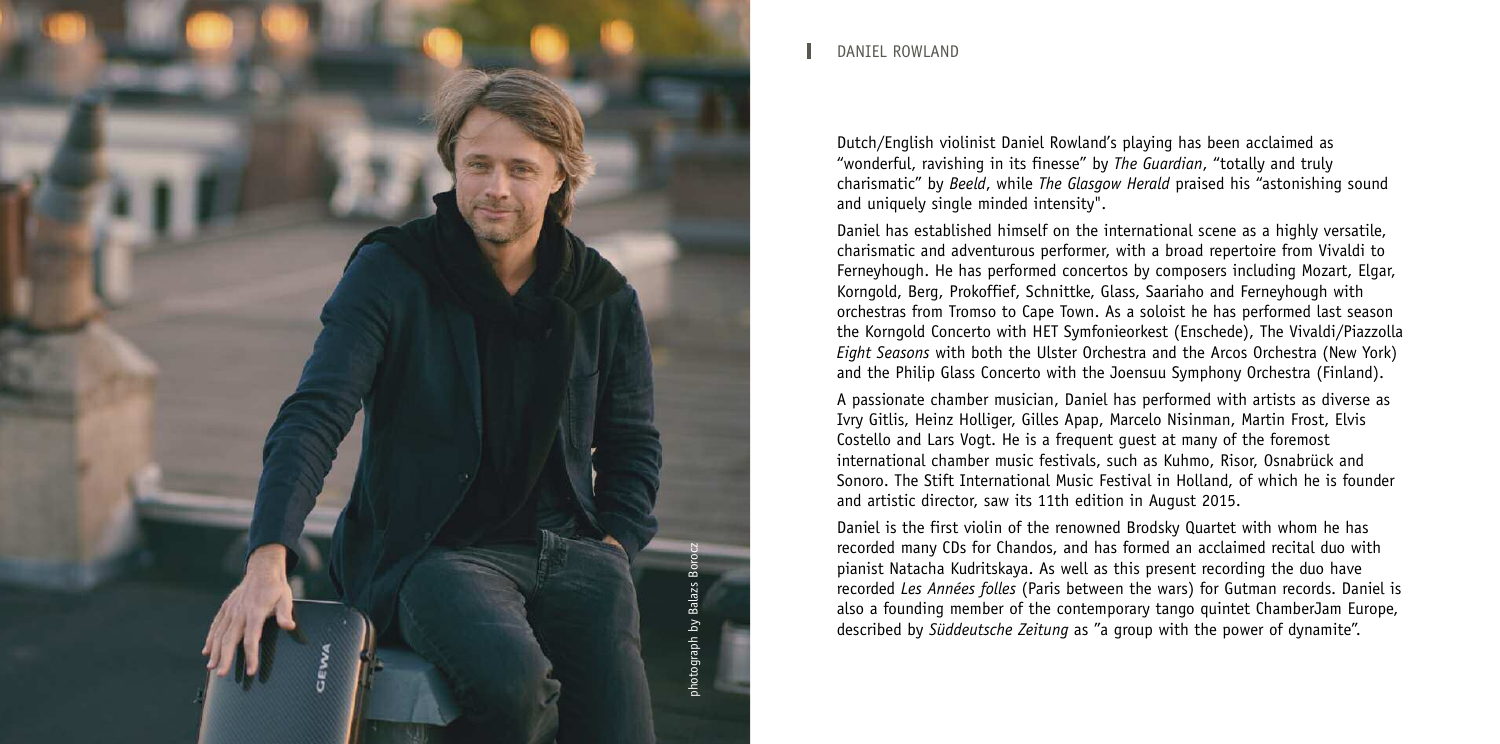

#### DANIEL ROWLAND

Dutch/English violinist Daniel Rowland's playing has been acclaimed as "wonderful, ravishing in its finesse" by *The Guardian*, "totally and truly charismatic" by *Beeld*, while *The Glasgow Herald* praised his "astonishing sound and uniquely single minded intensity".

Daniel has established himself on the international scene as a highly versatile, charismatic and adventurous performer, with a broad repertoire from Vivaldi to Ferneyhough. He has performed concertos by composers including Mozart, Elgar, Korngold, Berg, Prokoffief, Schnittke, Glass, Saariaho and Ferneyhough with orchestras from Tromso to Cape Town. As a soloist he has performed last season the Korngold Concerto with HET Symfonieorkest (Enschede), The Vivaldi/Piazzolla *Eight Seasons* with both the Ulster Orchestra and the Arcos Orchestra (New York) and the Philip Glass Concerto with the Joensuu Symphony Orchestra (Finland).

A passionate chamber musician, Daniel has performed with artists as diverse as Ivry Gitlis, Heinz Holliger, Gilles Apap, Marcelo Nisinman, Martin Frost, Elvis Costello and Lars Vogt. He is a frequent guest at many of the foremost international chamber music festivals, such as Kuhmo, Risor, Osnabrück and Sonoro. The Stift International Music Festival in Holland, of which he is founder and artistic director, saw its 11th edition in August 2015.

Daniel is the first violin of the renowned Brodsky Quartet with whom he has recorded many CDs for Chandos, and has formed an acclaimed recital duo with pianist Natacha Kudritskaya. As well as this present recording the duo have recorded *Les Années folles* (Paris between the wars) for Gutman records. Daniel is also a founding member of the contemporary tango quintet ChamberJam Europe, described by *Süddeutsche Zeitung* as "a group with the power of dynamite".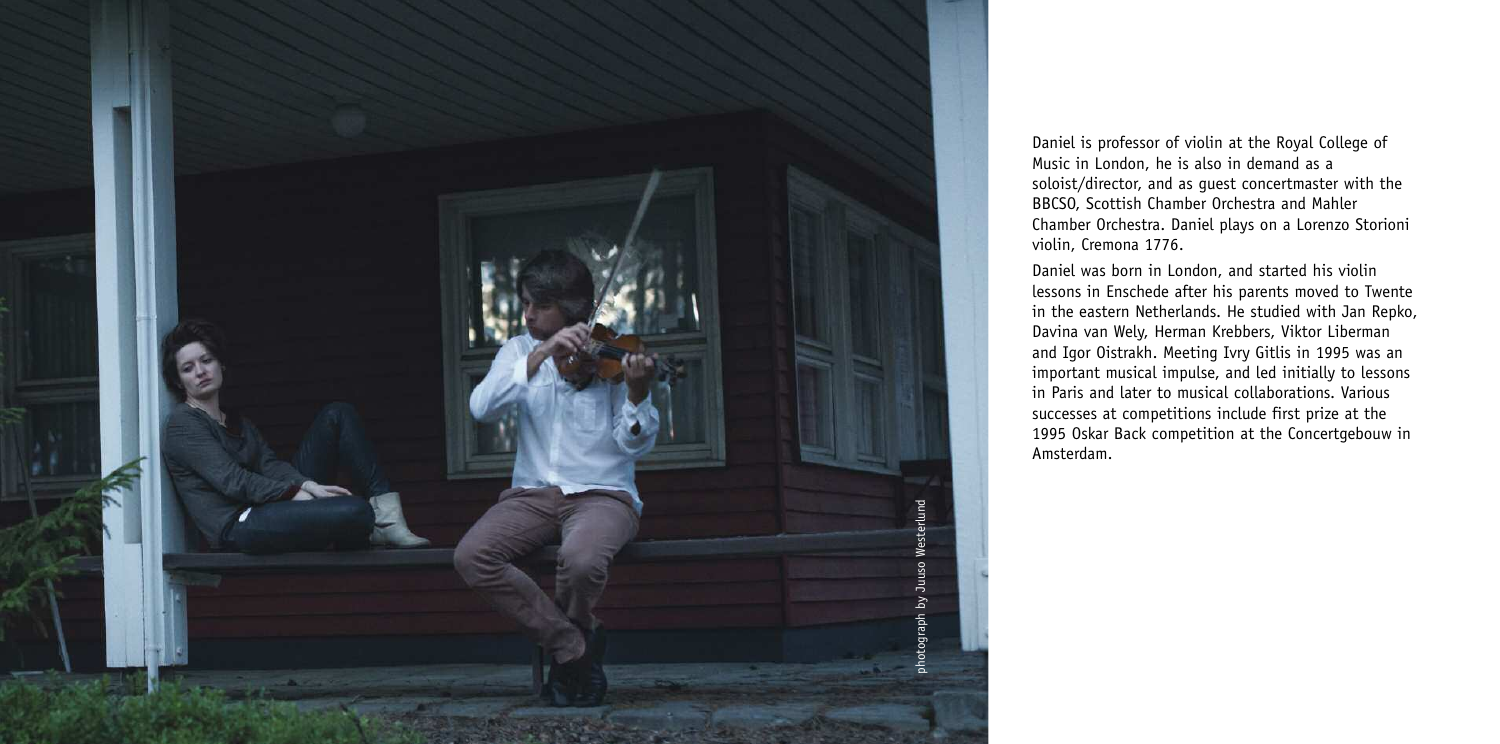

Daniel is professor of violin at the Royal College of Music in London, he is also in demand as a soloist/director, and as guest concertmaster with the BBCSO, Scottish Chamber Orchestra and Mahler Chamber Orchestra. Daniel plays on a Lorenzo Storioni violin, Cremona 1776.

Daniel was born in London, and started his violin lessons in Enschede after his parents moved to Twente in the eastern Netherlands. He studied with Jan Repko, Davina van Wely, Herman Krebbers, Viktor Liberman and Igor Oistrakh. Meeting Ivry Gitlis in 1995 was an important musical impulse, and led initially to lessons in Paris and later to musical collaborations. Various successes at competitions include first prize at the 1995 Oskar Back competition at the Concertgebouw in Amsterdam.